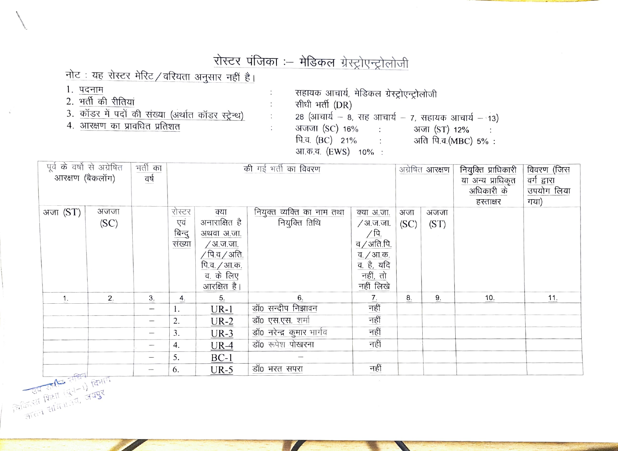## रोस्टर पंजिका :- मेडिकल ग्रेस्ट्रोएन्ट्रोलोजी

÷

÷

 $\ddot{\phantom{a}}$ 

 $\mathbb{C}^{\mathbb{Z}}$ 

## नोट: यह रोस्टर मेरिट / वरियता अनुसार नहीं है।

- 1. पदनाम
- 2. भर्ती की रीतियां
- 3. कॉडर में पदों की संख्या (अर्थात कॉडर स्ट्रेन्थ)
- 4. आरक्षण का प्रावधित प्रतिशत

सहायक आचार्य, मेडिकल ग्रेस्ट्रोएन्ट्रोलोजी सीधी भर्ती (DR) 28 (आचार्य - 8, सह आचार्य - 7, सहायक आचार्य - 13) अजजा (SC) 16% : अजा (ST) 12%: पि.व. (BC) 21% : अति पि.व. (MBC) 5%: आ.क.व. (EWS) 10% :

| पूर्व के वर्षो से अग्रेषित                           |      | भर्ती का                 | की गई भर्ती का विवरण |                                             |                           | अग्रेषित <b>आरक्षण</b>                                    |                   | नियुक्ति प्राधिकारी | विवरण (जिस |            |
|------------------------------------------------------|------|--------------------------|----------------------|---------------------------------------------|---------------------------|-----------------------------------------------------------|-------------------|---------------------|------------|------------|
| आरक्षण (बैकलॉग)<br>वर्ष                              |      |                          |                      |                                             |                           |                                                           | या अन्य प्राधिकृत | वर्ग द्वारा         |            |            |
|                                                      |      |                          |                      |                                             |                           |                                                           |                   |                     | अधिकारी के | उपयोग लिया |
|                                                      |      |                          |                      |                                             |                           |                                                           |                   |                     | हस्ताक्षर  | गया)       |
| अजा (ST)<br>अजजा                                     |      | रोस्टर<br>एवं            | क्या                 | नियुक्त व्यक्ति का नाम तथा<br>नियुक्ति तिथि | क्या अ.जा.                | अजा                                                       | अजजा              |                     |            |            |
|                                                      | (SC) |                          |                      | अनाराक्षित है                               |                           | /अ.ज.जा.                                                  | (SC)              | (ST)                |            |            |
|                                                      |      |                          | बिन्दु<br>संख्या     | अथवा अ.जा.                                  |                           | $\frac{\sqrt{\mathsf{h}}}{\mathsf{q}\,/\mathsf{a}$ ति.पि. |                   |                     |            |            |
|                                                      |      |                          |                      | <i>/</i> अ.ज.जा.                            |                           |                                                           |                   |                     |            |            |
|                                                      |      |                          |                      | $\sqrt{p}$ .व $\sqrt{3}$ ति.                |                           | व. / आ.क.                                                 |                   |                     |            |            |
|                                                      |      |                          |                      | पि.व. / आ.क.                                |                           | <u>व. है, यदि</u><br>नहीं, तो                             |                   |                     |            |            |
|                                                      |      |                          |                      | व. के लिए                                   |                           |                                                           |                   |                     |            |            |
|                                                      |      |                          |                      | आरक्षित है।                                 |                           | नहीं लिखे                                                 |                   |                     |            |            |
| 1.                                                   | 2.   | 3.                       | 4.                   | 5.                                          | 6.                        | $\overline{1}$ .                                          | 8.                | 9.                  | 10.        | 11.        |
|                                                      |      | $\overline{\phantom{m}}$ | 1.                   | $UR-1$                                      | डॉ0 सन्दीप निझावन         | नहीं                                                      |                   |                     |            |            |
|                                                      |      | $\overline{\phantom{0}}$ | 2.                   | $UR-2$                                      | डॉ0 एस.एस. शर्मा          | नहीं                                                      |                   |                     |            |            |
|                                                      |      | -                        | 3.                   | $UR-3$                                      | डॉ0 नरेन्द्र कुमार भार्गव | नहीं                                                      |                   |                     |            |            |
|                                                      |      | -                        | 4.                   | $UR-4$                                      | डॉ0 रूपेश पोखरना          | नहीं                                                      |                   |                     |            |            |
|                                                      |      | $\qquad \qquad$          | 5.                   | $BC-1$                                      |                           |                                                           |                   |                     |            |            |
| जिलिएस समिति अधिकारित<br>अपूर्ण शिक्षा (पुन-1) विभाग |      | $\qquad \qquad$          | 6.                   | $UR-5$                                      | डॉ0 भरत सपरा              | नहीं                                                      |                   |                     |            |            |
|                                                      |      |                          |                      |                                             |                           |                                                           |                   |                     |            |            |
|                                                      |      |                          |                      |                                             |                           |                                                           |                   |                     |            |            |
|                                                      |      |                          |                      |                                             |                           |                                                           |                   |                     |            |            |
|                                                      |      |                          |                      |                                             |                           |                                                           |                   |                     |            |            |
|                                                      |      |                          |                      |                                             |                           |                                                           |                   |                     |            |            |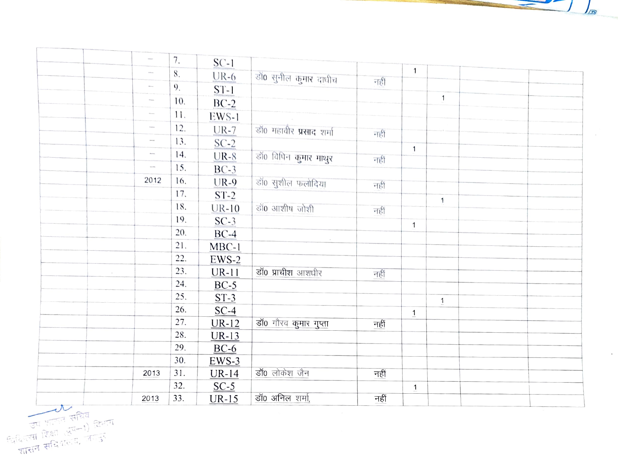र ज्या भारत सचिव किया

|              | $\frac{1}{2}$                | 7.  | $SC-1$  |                                |      |              |              |  |  |
|--------------|------------------------------|-----|---------|--------------------------------|------|--------------|--------------|--|--|
|              | $\sim$                       | 8.  | $UR-6$  | डाँ0 सुनील कुमार दाधीच         | नहीं | 1            |              |  |  |
|              | $\mathcal{L}_{\text{max}}$   | 9.  | $ST-1$  |                                |      |              |              |  |  |
|              | $\sim$                       | 10. | $BC-2$  |                                |      |              | $\mathbf{1}$ |  |  |
|              | $\mathcal{L}_{\text{intra}}$ | 11. | EWS-1   |                                |      |              |              |  |  |
|              |                              | 12. | $UR-7$  | डॉ0 महावीर <b>प्रसाद</b> शर्मा |      |              |              |  |  |
|              | $\sim$                       | 13. | $SC-2$  |                                | नहीं |              |              |  |  |
|              | $\mathcal{L}_{\text{intra}}$ | 14. | $UR-8$  | डाॅ0 विपिन कुमार माथुर         |      | $\mathbf{1}$ |              |  |  |
|              | $\sim$                       | 15. | $BC-3$  |                                | नहीं |              |              |  |  |
|              | 2012                         | 16. | $UR-9$  | डाँ० सुशील फलोदिया             |      |              |              |  |  |
|              |                              | 17. | $ST-2$  |                                | नहीं |              |              |  |  |
|              |                              | 18. | $UR-10$ | डॉ0 आशीष जोशी                  |      |              | $\mathbf{1}$ |  |  |
|              |                              | 19. | $SC-3$  |                                | नहीं |              |              |  |  |
|              |                              | 20. | $BC-4$  |                                |      | $\mathbf{1}$ |              |  |  |
|              |                              | 21. | $MBC-1$ |                                |      |              |              |  |  |
|              |                              | 22. | $EWS-2$ |                                |      |              |              |  |  |
| $\sim$       |                              | 23. | $UR-11$ | डॉ0 प्राचीश आशधीर              | नहीं |              |              |  |  |
|              |                              | 24. | $BC-5$  |                                |      |              |              |  |  |
|              |                              | 25. | $ST-3$  |                                |      |              |              |  |  |
|              |                              | 26. | $SC-4$  |                                |      |              | $\mathbf{1}$ |  |  |
|              |                              | 27. | $UR-12$ | डॉ0 गौरव कुमार गुप्ता          | नहीं | $\mathbf{1}$ |              |  |  |
|              |                              | 28. | $UR-13$ |                                |      |              |              |  |  |
|              |                              | 29. | $BC-6$  |                                |      |              |              |  |  |
|              |                              | 30. | $EWS-3$ |                                |      |              |              |  |  |
|              | 2013                         | 31. | $UR-14$ | डॉ0 लोकेश जैन                  | नहीं |              |              |  |  |
|              |                              | 32. | $SC-5$  |                                |      | 1            |              |  |  |
|              | 2013                         | 33. | $UR-15$ | डॉ0 अनिल शर्मा,                | नहीं |              |              |  |  |
| $\mathbf{R}$ |                              |     |         |                                |      |              |              |  |  |

 $\frac{1}{100}$ 

 $\ddot{\phantom{a}}$